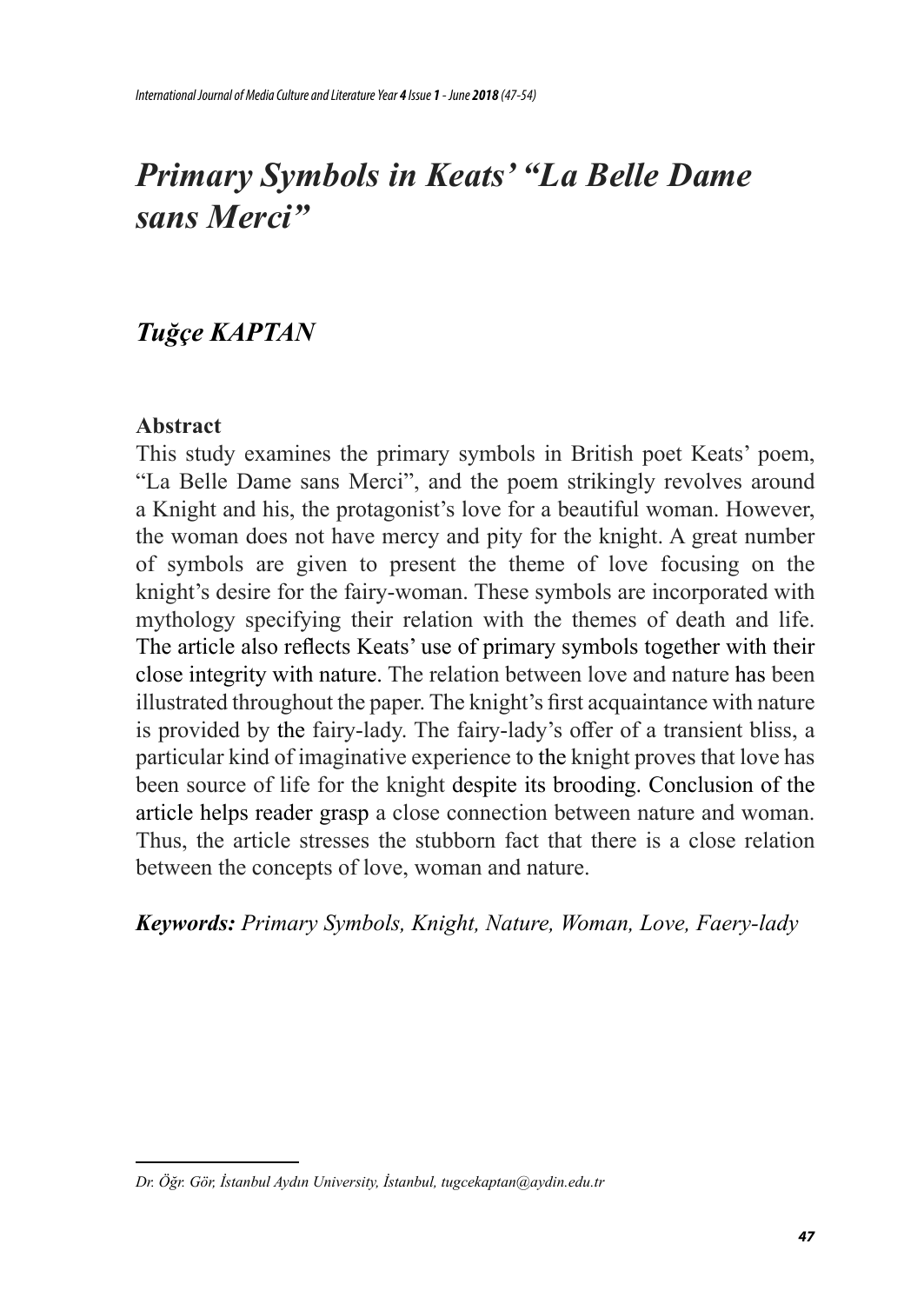# *Primary Symbols in Keats' "La Belle Dame sans Merci"*

## *Tuğçe KAPTAN*

### **Abstract**

This study examines the primary symbols in British poet Keats' poem, "La Belle Dame sans Merci", and the poem strikingly revolves around a Knight and his, the protagonist's love for a beautiful woman. However, the woman does not have mercy and pity for the knight. A great number of symbols are given to present the theme of love focusing on the knight's desire for the fairy-woman. These symbols are incorporated with mythology specifying their relation with the themes of death and life. The article also reflects Keats' use of primary symbols together with their close integrity with nature. The relation between love and nature has been illustrated throughout the paper. The knight's first acquaintance with nature is provided by the fairy-lady. The fairy-lady's offer of a transient bliss, a particular kind of imaginative experience to the knight proves that love has been source of life for the knight despite its brooding. Conclusion of the article helps reader grasp a close connection between nature and woman. Thus, the article stresses the stubborn fact that there is a close relation between the concepts of love, woman and nature.

*Keywords: Primary Symbols, Knight, Nature, Woman, Love, Faery-lady*

*Dr. Öğr. Gör, İstanbul Aydın University, İstanbul, tugcekaptan@aydin.edu.tr*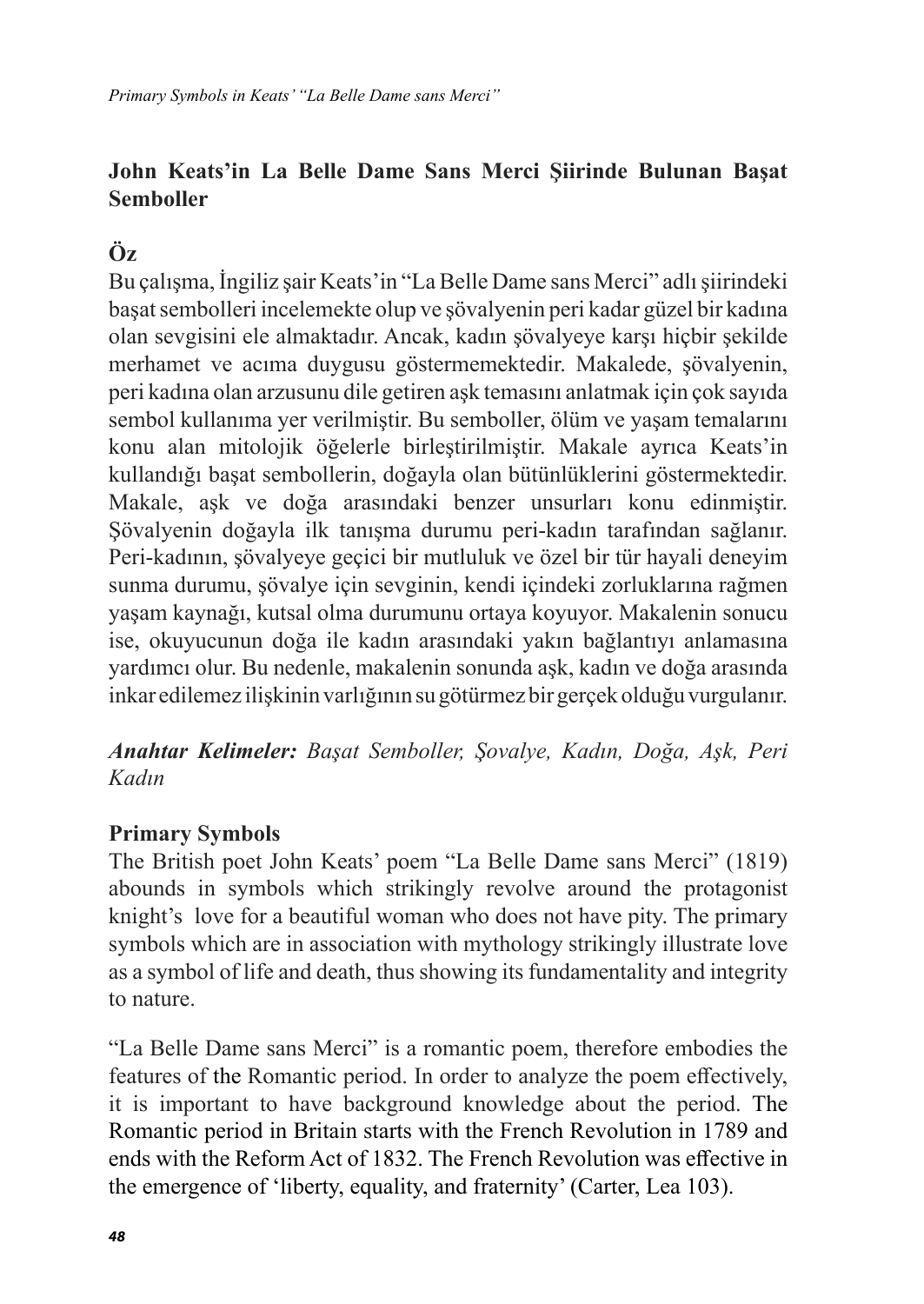## **John Keats'in La Belle Dame Sans Merci Şiirinde Bulunan Başat Semboller**

## **Öz**

Bu çalışma, İngiliz şair Keats'in "La Belle Dame sans Merci" adlı şiirindeki başat sembolleri incelemekte olup ve şövalyenin peri kadar güzel bir kadına olan sevgisini ele almaktadır. Ancak, kadın şövalyeye karşı hiçbir şekilde merhamet ve acıma duygusu göstermemektedir. Makalede, şövalyenin, peri kadına olan arzusunu dile getiren aşk temasını anlatmak için çok sayıda sembol kullanıma yer verilmiştir. Bu semboller, ölüm ve yaşam temalarını konu alan mitolojik öğelerle birleştirilmiştir. Makale ayrıca Keats'in kullandığı başat sembollerin, doğayla olan bütünlüklerini göstermektedir. Makale, aşk ve doğa arasındaki benzer unsurları konu edinmiştir. Şövalyenin doğayla ilk tanışma durumu peri-kadın tarafından sağlanır. Peri-kadının, şövalyeye geçici bir mutluluk ve özel bir tür hayali deneyim sunma durumu, şövalye için sevginin, kendi içindeki zorluklarına rağmen yaşam kaynağı, kutsal olma durumunu ortaya koyuyor. Makalenin sonucu ise, okuyucunun doğa ile kadın arasındaki yakın bağlantıyı anlamasına yardımcı olur. Bu nedenle, makalenin sonunda aşk, kadın ve doğa arasında inkar edilemez ilişkinin varlığının su götürmez bir gerçek olduğu vurgulanır.

*Anahtar Kelimeler: Başat Semboller, Şovalye, Kadın, Doğa, Aşk, Peri Kadın*

#### **Primary Symbols**

The British poet John Keats' poem "La Belle Dame sans Merci" (1819) abounds in symbols which strikingly revolve around the protagonist knight's love for a beautiful woman who does not have pity. The primary symbols which are in association with mythology strikingly illustrate love as a symbol of life and death, thus showing its fundamentality and integrity to nature.

"La Belle Dame sans Merci" is a romantic poem, therefore embodies the features of the Romantic period. In order to analyze the poem effectively, it is important to have background knowledge about the period. The Romantic period in Britain starts with the French Revolution in 1789 and ends with the Reform Act of 1832. The French Revolution was effective in the emergence of 'liberty, equality, and fraternity' (Carter, Lea 103).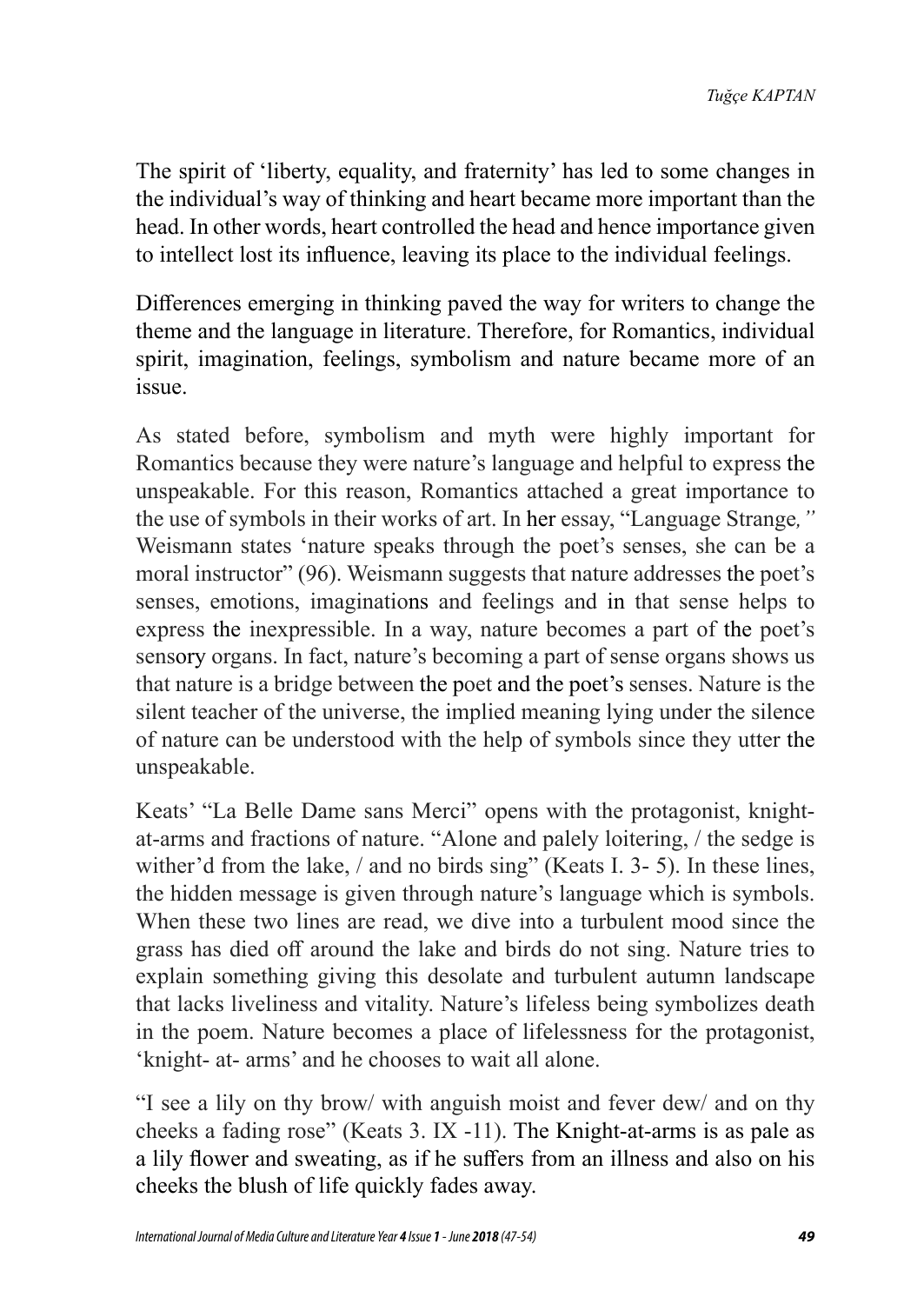The spirit of 'liberty, equality, and fraternity' has led to some changes in the individual's way of thinking and heart became more important than the head. In other words, heart controlled the head and hence importance given to intellect lost its influence, leaving its place to the individual feelings.

Differences emerging in thinking paved the way for writers to change the theme and the language in literature. Therefore, for Romantics, individual spirit, imagination, feelings, symbolism and nature became more of an issue.

As stated before, symbolism and myth were highly important for Romantics because they were nature's language and helpful to express the unspeakable. For this reason, Romantics attached a great importance to the use of symbols in their works of art. In her essay, "Language Strange*,"* Weismann states 'nature speaks through the poet's senses, she can be a moral instructor" (96). Weismann suggests that nature addresses the poet's senses, emotions, imaginations and feelings and in that sense helps to express the inexpressible. In a way, nature becomes a part of the poet's sensory organs. In fact, nature's becoming a part of sense organs shows us that nature is a bridge between the poet and the poet's senses. Nature is the silent teacher of the universe, the implied meaning lying under the silence of nature can be understood with the help of symbols since they utter the unspeakable.

Keats' "La Belle Dame sans Merci" opens with the protagonist, knightat-arms and fractions of nature. "Alone and palely loitering, / the sedge is wither'd from the lake, / and no birds sing" (Keats I. 3- 5). In these lines, the hidden message is given through nature's language which is symbols. When these two lines are read, we dive into a turbulent mood since the grass has died off around the lake and birds do not sing. Nature tries to explain something giving this desolate and turbulent autumn landscape that lacks liveliness and vitality. Nature's lifeless being symbolizes death in the poem. Nature becomes a place of lifelessness for the protagonist, 'knight- at- arms' and he chooses to wait all alone.

"I see a lily on thy brow/ with anguish moist and fever dew/ and on thy cheeks a fading rose" (Keats 3. IX -11). The Knight-at-arms is as pale as a lily flower and sweating, as if he suffers from an illness and also on his cheeks the blush of life quickly fades away.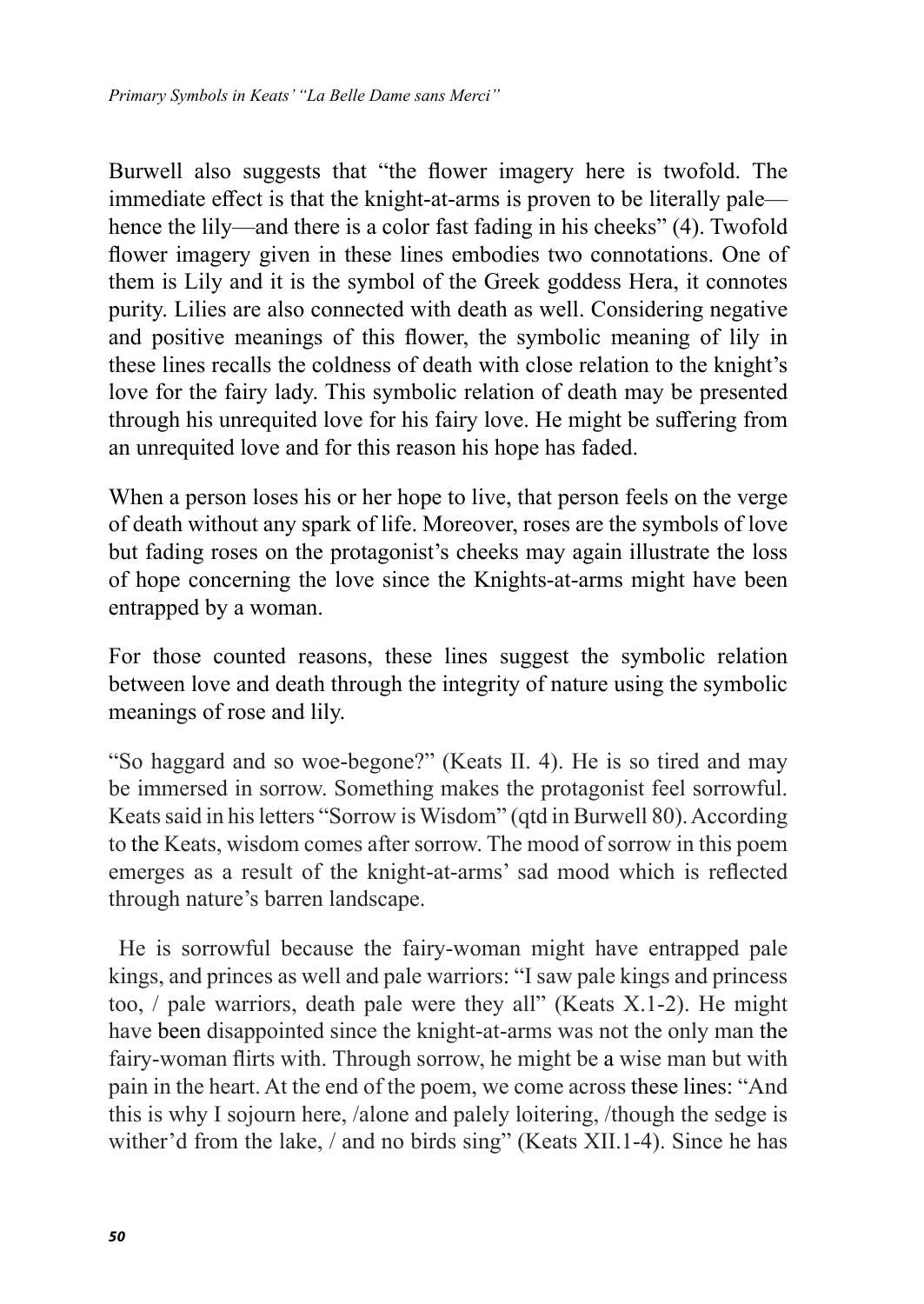Burwell also suggests that "the flower imagery here is twofold. The immediate effect is that the knight-at-arms is proven to be literally pale hence the lily—and there is a color fast fading in his cheeks" (4). Twofold flower imagery given in these lines embodies two connotations. One of them is Lily and it is the symbol of the Greek goddess Hera, it connotes purity. Lilies are also connected with death as well. Considering negative and positive meanings of this flower, the symbolic meaning of lily in these lines recalls the coldness of death with close relation to the knight's love for the fairy lady. This symbolic relation of death may be presented through his unrequited love for his fairy love. He might be suffering from an unrequited love and for this reason his hope has faded.

When a person loses his or her hope to live, that person feels on the verge of death without any spark of life. Moreover, roses are the symbols of love but fading roses on the protagonist's cheeks may again illustrate the loss of hope concerning the love since the Knights-at-arms might have been entrapped by a woman.

For those counted reasons, these lines suggest the symbolic relation between love and death through the integrity of nature using the symbolic meanings of rose and lily.

"So haggard and so woe-begone?" (Keats II. 4). He is so tired and may be immersed in sorrow. Something makes the protagonist feel sorrowful. Keats said in his letters "Sorrow is Wisdom" (qtd in Burwell 80). According to the Keats, wisdom comes after sorrow. The mood of sorrow in this poem emerges as a result of the knight-at-arms' sad mood which is reflected through nature's barren landscape.

He is sorrowful because the fairy-woman might have entrapped pale kings, and princes as well and pale warriors: "I saw pale kings and princess too, / pale warriors, death pale were they all" (Keats X.1-2). He might have been disappointed since the knight-at-arms was not the only man the fairy-woman flirts with. Through sorrow, he might be a wise man but with pain in the heart. At the end of the poem, we come across these lines: "And this is why I sojourn here, /alone and palely loitering, /though the sedge is wither'd from the lake, / and no birds sing" (Keats XII.1-4). Since he has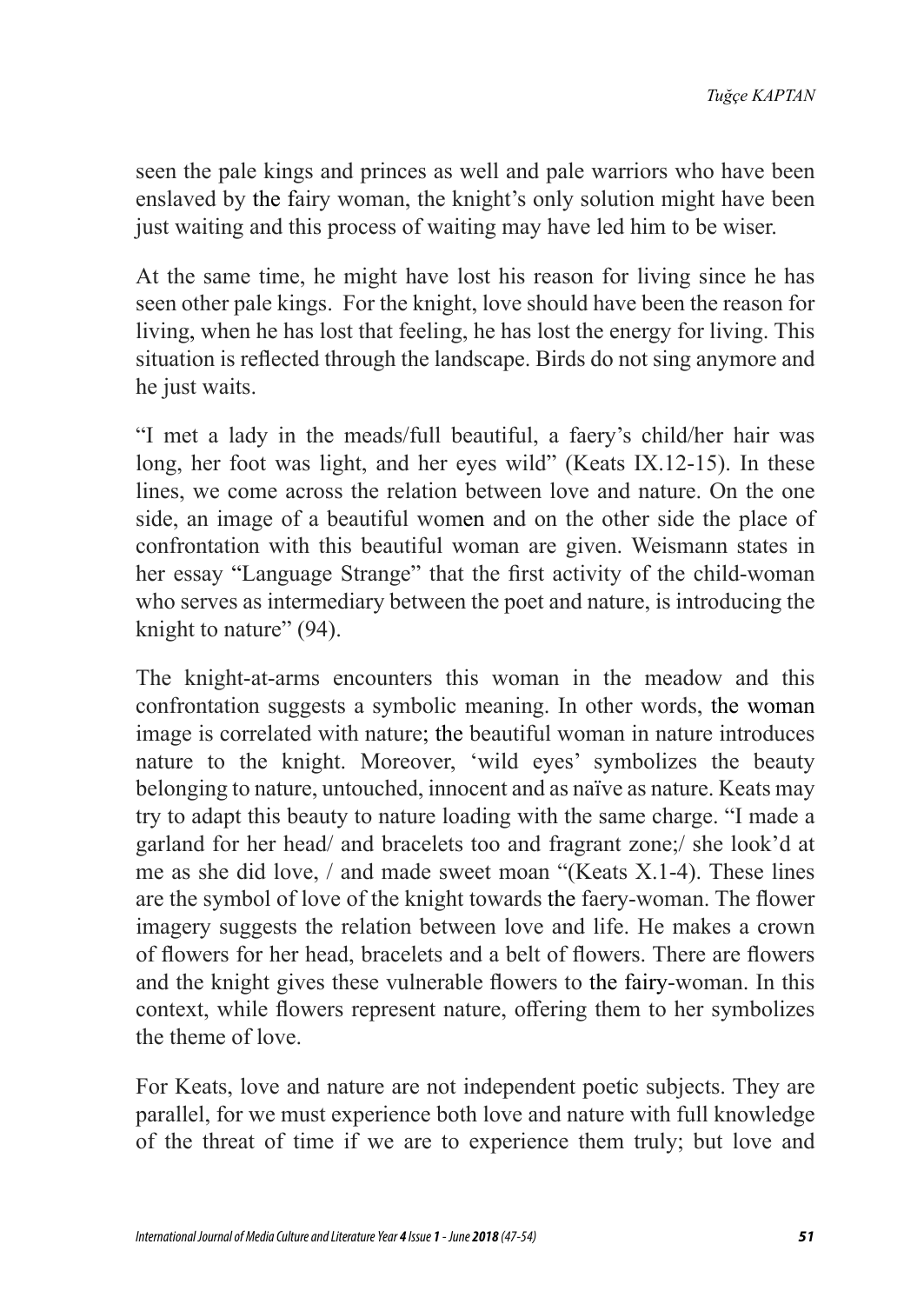seen the pale kings and princes as well and pale warriors who have been enslaved by the fairy woman, the knight's only solution might have been just waiting and this process of waiting may have led him to be wiser.

At the same time, he might have lost his reason for living since he has seen other pale kings. For the knight, love should have been the reason for living, when he has lost that feeling, he has lost the energy for living. This situation is reflected through the landscape. Birds do not sing anymore and he just waits.

"I met a lady in the meads/full beautiful, a faery's child/her hair was long, her foot was light, and her eyes wild" (Keats IX.12-15). In these lines, we come across the relation between love and nature. On the one side, an image of a beautiful women and on the other side the place of confrontation with this beautiful woman are given. Weismann states in her essay "Language Strange" that the first activity of the child-woman who serves as intermediary between the poet and nature, is introducing the knight to nature" (94).

The knight-at-arms encounters this woman in the meadow and this confrontation suggests a symbolic meaning. In other words, the woman image is correlated with nature; the beautiful woman in nature introduces nature to the knight. Moreover, 'wild eyes' symbolizes the beauty belonging to nature, untouched, innocent and as naïve as nature. Keats may try to adapt this beauty to nature loading with the same charge. "I made a garland for her head/ and bracelets too and fragrant zone;/ she look'd at me as she did love, / and made sweet moan "(Keats X.1-4). These lines are the symbol of love of the knight towards the faery-woman. The flower imagery suggests the relation between love and life. He makes a crown of flowers for her head, bracelets and a belt of flowers. There are flowers and the knight gives these vulnerable flowers to the fairy-woman. In this context, while flowers represent nature, offering them to her symbolizes the theme of love.

For Keats, love and nature are not independent poetic subjects. They are parallel, for we must experience both love and nature with full knowledge of the threat of time if we are to experience them truly; but love and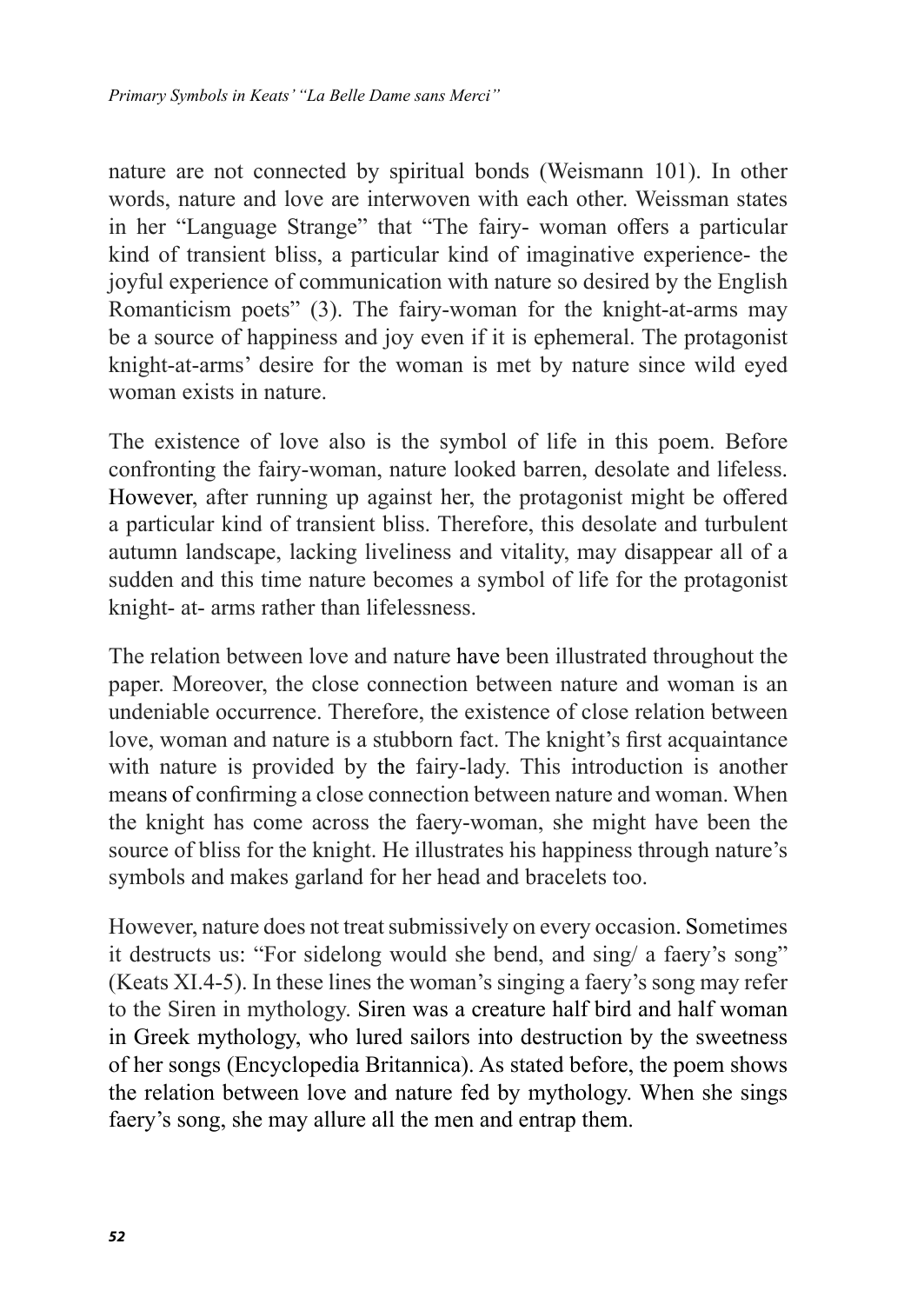nature are not connected by spiritual bonds (Weismann 101). In other words, nature and love are interwoven with each other. Weissman states in her "Language Strange" that "The fairy- woman offers a particular kind of transient bliss, a particular kind of imaginative experience- the joyful experience of communication with nature so desired by the English Romanticism poets" (3). The fairy-woman for the knight-at-arms may be a source of happiness and joy even if it is ephemeral. The protagonist knight-at-arms' desire for the woman is met by nature since wild eyed woman exists in nature.

The existence of love also is the symbol of life in this poem. Before confronting the fairy-woman, nature looked barren, desolate and lifeless. However, after running up against her, the protagonist might be offered a particular kind of transient bliss. Therefore, this desolate and turbulent autumn landscape, lacking liveliness and vitality, may disappear all of a sudden and this time nature becomes a symbol of life for the protagonist knight- at- arms rather than lifelessness.

The relation between love and nature have been illustrated throughout the paper. Moreover, the close connection between nature and woman is an undeniable occurrence. Therefore, the existence of close relation between love, woman and nature is a stubborn fact. The knight's first acquaintance with nature is provided by the fairy-lady. This introduction is another means of confirming a close connection between nature and woman. When the knight has come across the faery-woman, she might have been the source of bliss for the knight. He illustrates his happiness through nature's symbols and makes garland for her head and bracelets too.

However, nature does not treat submissively on every occasion. Sometimes it destructs us: "For sidelong would she bend, and sing/ a faery's song" (Keats XI.4-5). In these lines the woman's singing a faery's song may refer to the Siren in mythology. Siren was a creature half bird and half woman in Greek mythology, who lured sailors into destruction by the sweetness of her songs (Encyclopedia Britannica). As stated before, the poem shows the relation between love and nature fed by mythology. When she sings faery's song, she may allure all the men and entrap them.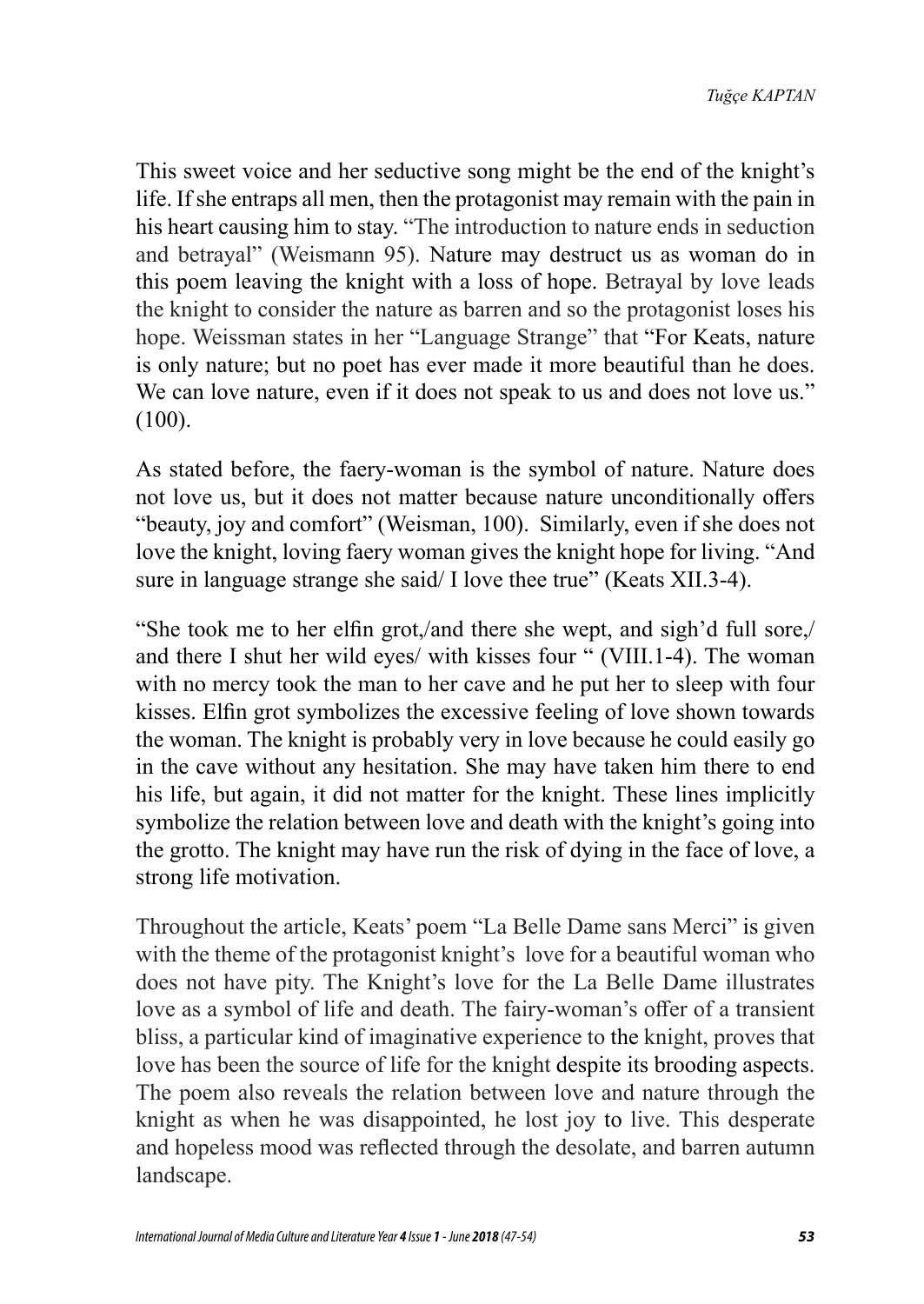This sweet voice and her seductive song might be the end of the knight's life. If she entraps all men, then the protagonist may remain with the pain in his heart causing him to stay. "The introduction to nature ends in seduction and betrayal" (Weismann 95). Nature may destruct us as woman do in this poem leaving the knight with a loss of hope. Betrayal by love leads the knight to consider the nature as barren and so the protagonist loses his hope. Weissman states in her "Language Strange" that "For Keats, nature is only nature; but no poet has ever made it more beautiful than he does. We can love nature, even if it does not speak to us and does not love us." (100).

As stated before, the faery-woman is the symbol of nature. Nature does not love us, but it does not matter because nature unconditionally offers "beauty, joy and comfort" (Weisman, 100). Similarly, even if she does not love the knight, loving faery woman gives the knight hope for living. "And sure in language strange she said/ I love thee true" (Keats XII.3-4).

"She took me to her elfin grot,/and there she wept, and sigh'd full sore,/ and there I shut her wild eyes/ with kisses four " (VIII.1-4). The woman with no mercy took the man to her cave and he put her to sleep with four kisses. Elfin grot symbolizes the excessive feeling of love shown towards the woman. The knight is probably very in love because he could easily go in the cave without any hesitation. She may have taken him there to end his life, but again, it did not matter for the knight. These lines implicitly symbolize the relation between love and death with the knight's going into the grotto. The knight may have run the risk of dying in the face of love, a strong life motivation.

Throughout the article, Keats' poem "La Belle Dame sans Merci" is given with the theme of the protagonist knight's love for a beautiful woman who does not have pity. The Knight's love for the La Belle Dame illustrates love as a symbol of life and death. The fairy-woman's offer of a transient bliss, a particular kind of imaginative experience to the knight, proves that love has been the source of life for the knight despite its brooding aspects. The poem also reveals the relation between love and nature through the knight as when he was disappointed, he lost joy to live. This desperate and hopeless mood was reflected through the desolate, and barren autumn landscape.